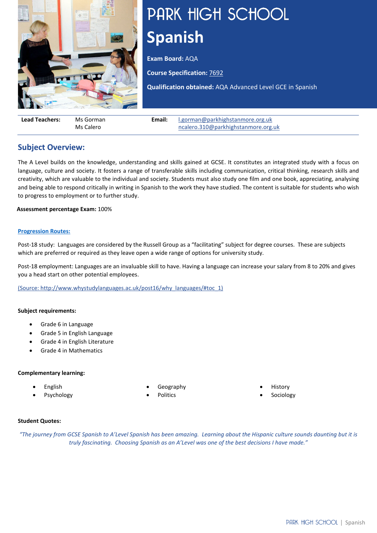

# PARK HIGH SCHOOL **Spanish**

**Exam Board:** AQA

**Course Specification:** [7692](https://filestore.aqa.org.uk/resources/spanish/specifications/AQA-7692-SP-2016.PDF)

**Qualification obtained:** AQA Advanced Level GCE in Spanish

| <b>Lead Teachers:</b> | Ms Gorman | Email: | l.gorman@park high stamore.org.uk   |
|-----------------------|-----------|--------|-------------------------------------|
|                       | Ms Calero |        | ncalero.310@parkhighstanmore.org.uk |

## **Subject Overview:**

The A Level builds on the knowledge, understanding and skills gained at GCSE. It constitutes an integrated study with a focus on language, culture and society. It fosters a range of transferable skills including communication, critical thinking, research skills and creativity, which are valuable to the individual and society. Students must also study one film and one book, appreciating, analysing and being able to respond critically in writing in Spanish to the work they have studied. The content is suitable for students who wish to progress to employment or to further study.

**Assessment percentage Exam:** 100%

## **[Progression Routes:](https://www.parkhighstanmore.org.uk/careersandemploaybility/studentresources)**

Post-18 study: Languages are considered by the Russell Group as a "facilitating" subject for degree courses. These are subjects which are preferred or required as they leave open a wide range of options for university study.

Post-18 employment: Languages are an invaluable skill to have. Having a language can increase your salary from 8 to 20% and gives you a head start on other potential employees.

[\(Source: http://www.whystudylanguages.ac.uk/post16/why\\_languages/#toc\\_1\)](file://phs-apps-06/Digital$/Communications/Website/2019-20/KS5%20Curriculum/(Source:%20http:/www.whystudylanguages.ac.uk/post16/why_languages/#toc_1)) 

#### **Subject requirements:**

- Grade 6 in Language
- Grade 5 in English Language
- Grade 4 in English Literature
- Grade 4 in Mathematics

#### **Complementary learning:**

- English
- **Psychology**
- Geography
- Politics

**History Sociology** 

#### **Student Quotes:**

*"The journey from GCSE Spanish to A'Level Spanish has been amazing. Learning about the Hispanic culture sounds daunting but it is truly fascinating. Choosing Spanish as an A'Level was one of the best decisions I have made."*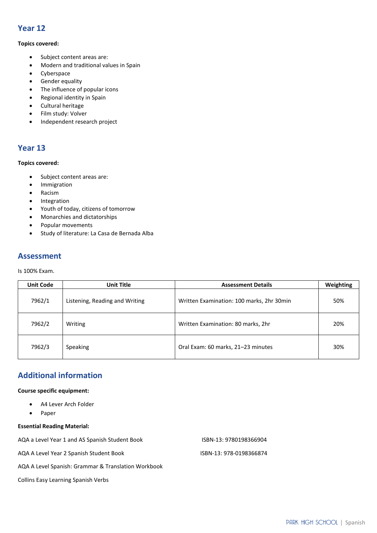## **Year 12**

### **Topics covered:**

- Subject content areas are:
- Modern and traditional values in Spain
- Cyberspace
- Gender equality
- The influence of popular icons
- Regional identity in Spain
- Cultural heritage
- Film study: Volver
- Independent research project

## **Year 13**

## **Topics covered:**

- Subject content areas are:
- Immigration
- Racism
- Integration
- Youth of today, citizens of tomorrow
- Monarchies and dictatorships
- Popular movements
- Study of literature: La Casa de Bernada Alba

## **Assessment**

Is 100% Exam.

| <b>Unit Code</b> | <b>Unit Title</b>              | <b>Assessment Details</b>                 | Weighting |
|------------------|--------------------------------|-------------------------------------------|-----------|
| 7962/1           | Listening, Reading and Writing | Written Examination: 100 marks, 2hr 30min | 50%       |
| 7962/2           | Writing                        | Written Examination: 80 marks, 2hr        | 20%       |
| 7962/3           | <b>Speaking</b>                | Oral Exam: 60 marks, 21-23 minutes        | 30%       |

## **Additional information**

#### **Course specific equipment:**

- A4 Lever Arch Folder
- Paper

## **Essential Reading Material:**

| AQA a Level Year 1 and AS Spanish Student Book      | ISBN-13: 9780198366904  |
|-----------------------------------------------------|-------------------------|
| AQA A Level Year 2 Spanish Student Book             | ISBN-13: 978-0198366874 |
| AQA A Level Spanish: Grammar & Translation Workbook |                         |

Collins Easy Learning Spanish Verbs